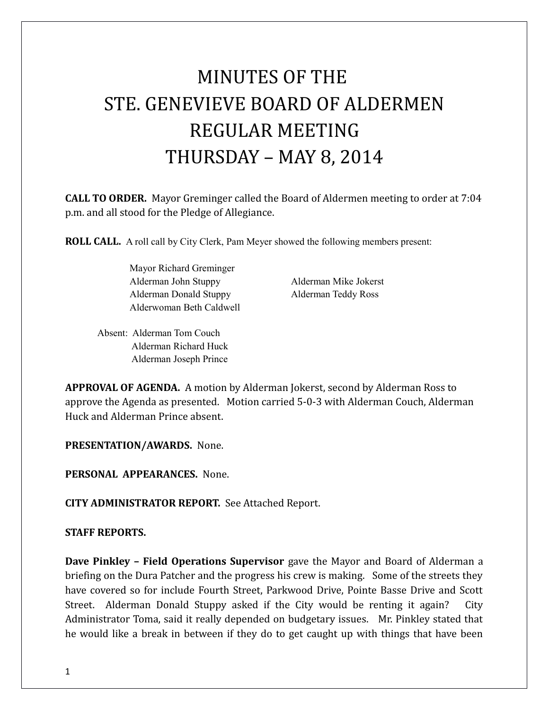# MINUTES OF THE STE. GENEVIEVE BOARD OF ALDERMEN REGULAR MEETING THURSDAY – MAY 8, 2014

**CALL TO ORDER.** Mayor Greminger called the Board of Aldermen meeting to order at 7:04 p.m. and all stood for the Pledge of Allegiance.

**ROLL CALL.** A roll call by City Clerk, Pam Meyer showed the following members present:

Mayor Richard Greminger Alderman John Stuppy Alderman Mike Jokerst Alderman Donald Stuppy Alderman Teddy Ross Alderwoman Beth Caldwell

Absent: Alderman Tom Couch Alderman Richard Huck Alderman Joseph Prince

**APPROVAL OF AGENDA.** A motion by Alderman Jokerst, second by Alderman Ross to approve the Agenda as presented. Motion carried 5-0-3 with Alderman Couch, Alderman Huck and Alderman Prince absent.

**PRESENTATION/AWARDS.** None.

**PERSONAL APPEARANCES.** None.

**CITY ADMINISTRATOR REPORT.** See Attached Report.

#### **STAFF REPORTS.**

**Dave Pinkley – Field Operations Supervisor** gave the Mayor and Board of Alderman a briefing on the Dura Patcher and the progress his crew is making. Some of the streets they have covered so for include Fourth Street, Parkwood Drive, Pointe Basse Drive and Scott Street. Alderman Donald Stuppy asked if the City would be renting it again? City Administrator Toma, said it really depended on budgetary issues. Mr. Pinkley stated that he would like a break in between if they do to get caught up with things that have been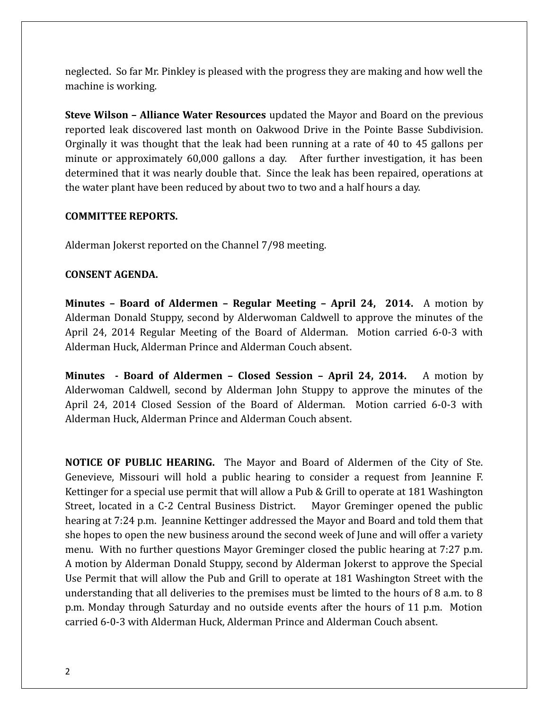neglected. So far Mr. Pinkley is pleased with the progress they are making and how well the machine is working.

**Steve Wilson – Alliance Water Resources** updated the Mayor and Board on the previous reported leak discovered last month on Oakwood Drive in the Pointe Basse Subdivision. Orginally it was thought that the leak had been running at a rate of 40 to 45 gallons per minute or approximately 60,000 gallons a day. After further investigation, it has been determined that it was nearly double that. Since the leak has been repaired, operations at the water plant have been reduced by about two to two and a half hours a day.

#### **COMMITTEE REPORTS.**

Alderman Jokerst reported on the Channel 7/98 meeting.

#### **CONSENT AGENDA.**

**Minutes – Board of Aldermen – Regular Meeting – April 24, 2014.** A motion by Alderman Donald Stuppy, second by Alderwoman Caldwell to approve the minutes of the April 24, 2014 Regular Meeting of the Board of Alderman. Motion carried 6-0-3 with Alderman Huck, Alderman Prince and Alderman Couch absent.

**Minutes - Board of Aldermen – Closed Session – April 24, 2014.** A motion by Alderwoman Caldwell, second by Alderman John Stuppy to approve the minutes of the April 24, 2014 Closed Session of the Board of Alderman. Motion carried 6-0-3 with Alderman Huck, Alderman Prince and Alderman Couch absent.

**NOTICE OF PUBLIC HEARING.** The Mayor and Board of Aldermen of the City of Ste. Genevieve, Missouri will hold a public hearing to consider a request from Jeannine F. Kettinger for a special use permit that will allow a Pub & Grill to operate at 181 Washington Street, located in a C-2 Central Business District. Mayor Greminger opened the public hearing at 7:24 p.m. Jeannine Kettinger addressed the Mayor and Board and told them that she hopes to open the new business around the second week of June and will offer a variety menu. With no further questions Mayor Greminger closed the public hearing at 7:27 p.m. A motion by Alderman Donald Stuppy, second by Alderman Jokerst to approve the Special Use Permit that will allow the Pub and Grill to operate at 181 Washington Street with the understanding that all deliveries to the premises must be limted to the hours of 8 a.m. to 8 p.m. Monday through Saturday and no outside events after the hours of 11 p.m. Motion carried 6-0-3 with Alderman Huck, Alderman Prince and Alderman Couch absent.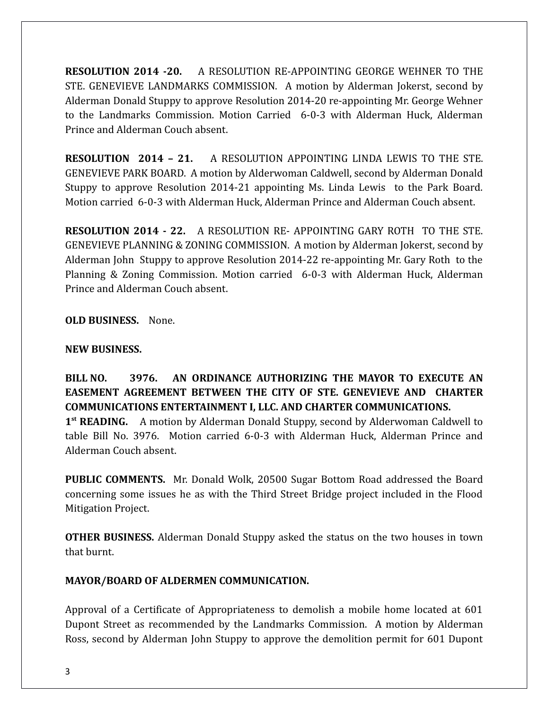**RESOLUTION 2014 -20.** A RESOLUTION RE-APPOINTING GEORGE WEHNER TO THE STE. GENEVIEVE LANDMARKS COMMISSION. A motion by Alderman Jokerst, second by Alderman Donald Stuppy to approve Resolution 2014-20 re-appointing Mr. George Wehner to the Landmarks Commission. Motion Carried 6-0-3 with Alderman Huck, Alderman Prince and Alderman Couch absent.

**RESOLUTION 2014 – 21.** A RESOLUTION APPOINTING LINDA LEWIS TO THE STE. GENEVIEVE PARK BOARD. A motion by Alderwoman Caldwell, second by Alderman Donald Stuppy to approve Resolution 2014-21 appointing Ms. Linda Lewis to the Park Board. Motion carried 6-0-3 with Alderman Huck, Alderman Prince and Alderman Couch absent.

**RESOLUTION 2014 - 22.** A RESOLUTION RE- APPOINTING GARY ROTH TO THE STE. GENEVIEVE PLANNING & ZONING COMMISSION. A motion by Alderman Jokerst, second by Alderman John Stuppy to approve Resolution 2014-22 re-appointing Mr. Gary Roth to the Planning & Zoning Commission. Motion carried 6-0-3 with Alderman Huck, Alderman Prince and Alderman Couch absent.

**OLD BUSINESS.** None.

### **NEW BUSINESS.**

**BILL NO. 3976. AN ORDINANCE AUTHORIZING THE MAYOR TO EXECUTE AN EASEMENT AGREEMENT BETWEEN THE CITY OF STE. GENEVIEVE AND CHARTER COMMUNICATIONS ENTERTAINMENT I, LLC. AND CHARTER COMMUNICATIONS.** 

1<sup>st</sup> READING. A motion by Alderman Donald Stuppy, second by Alderwoman Caldwell to table Bill No. 3976. Motion carried 6-0-3 with Alderman Huck, Alderman Prince and Alderman Couch absent.

**PUBLIC COMMENTS.** Mr. Donald Wolk, 20500 Sugar Bottom Road addressed the Board concerning some issues he as with the Third Street Bridge project included in the Flood Mitigation Project.

**OTHER BUSINESS.** Alderman Donald Stuppy asked the status on the two houses in town that burnt.

## **MAYOR/BOARD OF ALDERMEN COMMUNICATION.**

Approval of a Certificate of Appropriateness to demolish a mobile home located at 601 Dupont Street as recommended by the Landmarks Commission. A motion by Alderman Ross, second by Alderman John Stuppy to approve the demolition permit for 601 Dupont